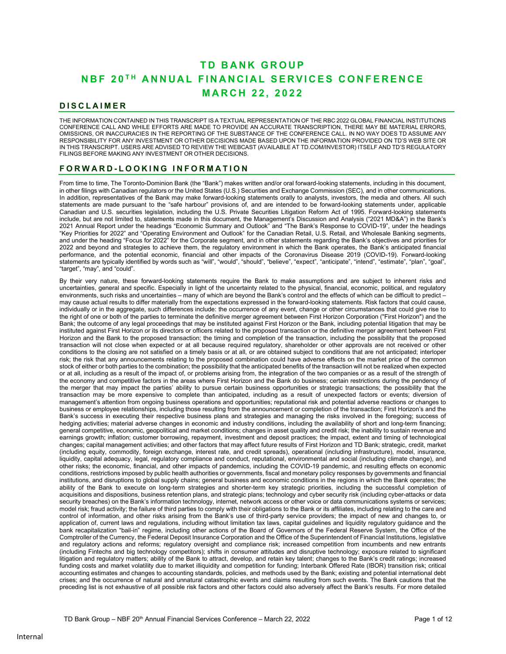# **TD BANK GROUP** NRF 20TH ANNUAL FINANCIAL SERVICES CONFERENCE **MARCH 22, 2022**

# **DISCLAIMER**

THE INFORMATION CONTAINED IN THIS TRANSCRIPT IS A TEXTUAL REPRESENTATION OF THE RBC 2022 GLOBAL FINANCIAL INSTITUTIONS CONFERENCE CALL AND WHILE EFFORTS ARE MADE TO PROVIDE AN ACCURATE TRANSCRIPTION, THERE MAY BE MATERIAL ERRORS, OMISSIONS, OR INACCURACIES IN THE REPORTING OF THE SUBSTANCE OF THE CONFERENCE CALL. IN NO WAY DOES TD ASSUME ANY RESPONSIBILITY FOR ANY INVESTMENT OR OTHER DECISIONS MADE BASED UPON THE INFORMATION PROVIDED ON TD'S WEB SITE OR IN THIS TRANSCRIPT. USERS ARE ADVISED TO REVIEW THE WEBCAST (AVAILABLE AT TD.COM/INVESTOR) ITSELF AND TD'S REGULATORY FILINGS BEFORE MAKING ANY INVESTMENT OR OTHER DECISIONS.

# FORWARD-LOOKING INFORMATION

From time to time, The Toronto-Dominion Bank (the "Bank") makes written and/or oral forward-looking statements, including in this document, in other filings with Canadian regulators or the United States (U.S.) Securities and Exchange Commission (SEC), and in other communications. In addition, representatives of the Bank may make forward-looking statements orally to analysts, investors, the media and others. All such statements are made pursuant to the "safe harbour" provisions of, and are intended to be forward-looking statements under, applicable Canadian and U.S. securities legislation, including the U.S. Private Securities Litigation Reform Act of 1995. Forward-looking statements include, but are not limited to, statements made in this document, the Management's Discussion and Analysis ("2021 MD&A") in the Bank's 2021 Annual Report under the headings "Economic Summary and Outlook" and "The Bank's Response to COVID-19", under the headings "Key Priorities for 2022" and "Operating Environment and Outlook" for the Canadian Retail, U.S. Retail, and Wholesale Banking segments, and under the heading "Focus for 2022" for the Corporate segment, and in other statements regarding the Bank's objectives and priorities for 2022 and beyond and strategies to achieve them, the regulatory environment in which the Bank operates, the Bank's anticipated financial performance, and the potential economic, financial and other impacts of the Coronavirus Disease 2019 (COVID-19). Forward-looking statements are typically identified by words such as "will", "would", "should", "believe", "expect", "anticipate", "intend", "estimate", "plan", "goal", "target", "may", and "could".

By their very nature, these forward-looking statements require the Bank to make assumptions and are subject to inherent risks and uncertainties, general and specific. Especially in light of the uncertainty related to the physical, financial, economic, political, and regulatory environments, such risks and uncertainties – many of which are beyond the Bank's control and the effects of which can be difficult to predict – may cause actual results to differ materially from the expectations expressed in the forward-looking statements. Risk factors that could cause, individually or in the aggregate, such differences include: the occurrence of any event, change or other circumstances that could give rise to the right of one or both of the parties to terminate the definitive merger agreement between First Horizon Corporation ("First Horizon") and the Bank; the outcome of any legal proceedings that may be instituted against First Horizon or the Bank, including potential litigation that may be instituted against First Horizon or its directors or officers related to the proposed transaction or the definitive merger agreement between First Horizon and the Bank to the proposed transaction; the timing and completion of the transaction, including the possibility that the proposed transaction will not close when expected or at all because required regulatory, shareholder or other approvals are not received or other conditions to the closing are not satisfied on a timely basis or at all, or are obtained subject to conditions that are not anticipated; interloper risk; the risk that any announcements relating to the proposed combination could have adverse effects on the market price of the common stock of either or both parties to the combination; the possibility that the anticipated benefits of the transaction will not be realized when expected or at all, including as a result of the impact of, or problems arising from, the integration of the two companies or as a result of the strength of the economy and competitive factors in the areas where First Horizon and the Bank do business; certain restrictions during the pendency of the merger that may impact the parties' ability to pursue certain business opportunities or strategic transactions; the possibility that the transaction may be more expensive to complete than anticipated, including as a result of unexpected factors or events; diversion of management's attention from ongoing business operations and opportunities; reputational risk and potential adverse reactions or changes to business or employee relationships, including those resulting from the announcement or completion of the transaction; First Horizon's and the Bank's success in executing their respective business plans and strategies and managing the risks involved in the foregoing; success of hedging activities; material adverse changes in economic and industry conditions, including the availability of short and long-term financing; general competitive, economic, geopolitical and market conditions; changes in asset quality and credit risk; the inability to sustain revenue and earnings growth; inflation; customer borrowing, repayment, investment and deposit practices; the impact, extent and timing of technological changes; capital management activities; and other factors that may affect future results of First Horizon and TD Bank; strategic, credit, market (including equity, commodity, foreign exchange, interest rate, and credit spreads), operational (including infrastructure), model, insurance, liquidity, capital adequacy, legal, regulatory compliance and conduct, reputational, environmental and social (including climate change), and other risks; the economic, financial, and other impacts of pandemics, including the COVID-19 pandemic, and resulting effects on economic conditions, restrictions imposed by public health authorities or governments, fiscal and monetary policy responses by governments and financial institutions, and disruptions to global supply chains; general business and economic conditions in the regions in which the Bank operates; the ability of the Bank to execute on long-term strategies and shorter-term key strategic priorities, including the successful completion of acquisitions and dispositions, business retention plans, and strategic plans; technology and cyber security risk (including cyber-attacks or data security breaches) on the Bank's information technology, internet, network access or other voice or data communications systems or services; model risk; fraud activity; the failure of third parties to comply with their obligations to the Bank or its affiliates, including relating to the care and control of information, and other risks arising from the Bank's use of third-party service providers; the impact of new and changes to, or application of, current laws and regulations, including without limitation tax laws, capital guidelines and liquidity regulatory guidance and the bank recapitalization "bail-in" regime, including other actions of the Board of Governors of the Federal Reserve System, the Office of the Comptroller of the Currency, the Federal Deposit Insurance Corporation and the Office of the Superintendent of Financial Institutions, legislative and regulatory actions and reforms; regulatory oversight and compliance risk; increased competition from incumbents and new entrants (including Fintechs and big technology competitors); shifts in consumer attitudes and disruptive technology; exposure related to significant litigation and regulatory matters; ability of the Bank to attract, develop, and retain key talent; changes to the Bank's credit ratings; increased funding costs and market volatility due to market illiquidity and competition for funding; Interbank Offered Rate (IBOR) transition risk; critical accounting estimates and changes to accounting standards, policies, and methods used by the Bank; existing and potential international debt crises; and the occurrence of natural and unnatural catastrophic events and claims resulting from such events. The Bank cautions that the preceding list is not exhaustive of all possible risk factors and other factors could also adversely affect the Bank's results. For more detailed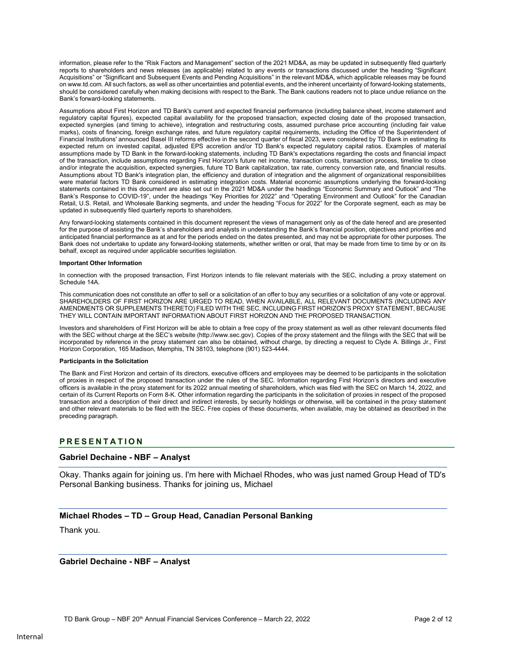information, please refer to the "Risk Factors and Management" section of the 2021 MD&A, as may be updated in subsequently filed quarterly reports to shareholders and news releases (as applicable) related to any events or transactions discussed under the heading "Significant Acquisitions" or "Significant and Subsequent Events and Pending Acquisitions" in the relevant MD&A, which applicable releases may be found on www.td.com. All such factors, as well as other uncertainties and potential events, and the inherent uncertainty of forward-looking statements, should be considered carefully when making decisions with respect to the Bank. The Bank cautions readers not to place undue reliance on the Bank's forward-looking statements.

Assumptions about First Horizon and TD Bank's current and expected financial performance (including balance sheet, income statement and regulatory capital figures), expected capital availability for the proposed transaction, expected closing date of the proposed transaction, expected synergies (and timing to achieve), integration and restructuring costs, assumed purchase price accounting (including fair value marks), costs of financing, foreign exchange rates, and future regulatory capital requirements, including the Office of the Superintendent of Financial Institutions' announced Basel III reforms effective in the second quarter of fiscal 2023, were considered by TD Bank in estimating its expected return on invested capital, adjusted EPS accretion and/or TD Bank's expected regulatory capital ratios. Examples of material assumptions made by TD Bank in the forward-looking statements, including TD Bank's expectations regarding the costs and financial impact of the transaction, include assumptions regarding First Horizon's future net income, transaction costs, transaction process, timeline to close and/or integrate the acquisition, expected synergies, future TD Bank capitalization, tax rate, currency conversion rate, and financial results. Assumptions about TD Bank's integration plan, the efficiency and duration of integration and the alignment of organizational responsibilities were material factors TD Bank considered in estimating integration costs. Material economic assumptions underlying the forward-looking statements contained in this document are also set out in the 2021 MD&A under the headings "Economic Summary and Outlook" and "The Bank's Response to COVID-19", under the headings "Key Priorities for 2022" and "Operating Environment and Outlook" for the Canadian Retail, U.S. Retail, and Wholesale Banking segments, and under the heading "Focus for 2022" for the Corporate segment, each as may be updated in subsequently filed quarterly reports to shareholders.

Any forward-looking statements contained in this document represent the views of management only as of the date hereof and are presented for the purpose of assisting the Bank's shareholders and analysts in understanding the Bank's financial position, objectives and priorities and anticipated financial performance as at and for the periods ended on the dates presented, and may not be appropriate for other purposes. The Bank does not undertake to update any forward-looking statements, whether written or oral, that may be made from time to time by or on its behalf, except as required under applicable securities legislation.

#### Important Other Information

In connection with the proposed transaction, First Horizon intends to file relevant materials with the SEC, including a proxy statement on Schedule 14A.

This communication does not constitute an offer to sell or a solicitation of an offer to buy any securities or a solicitation of any vote or approval. SHAREHOLDERS OF FIRST HORIZON ARE URGED TO READ, WHEN AVAILABLE, ALL RELEVANT DOCUMENTS (INCLUDING ANY AMENDMENTS OR SUPPLEMENTS THERETO) FILED WITH THE SEC, INCLUDING FIRST HORIZON'S PROXY STATEMENT, BECAUSE THEY WILL CONTAIN IMPORTANT INFORMATION ABOUT FIRST HORIZON AND THE PROPOSED TRANSACTION.

Investors and shareholders of First Horizon will be able to obtain a free copy of the proxy statement as well as other relevant documents filed with the SEC without charge at the SEC's website (http://www.sec.gov). Copies of the proxy statement and the filings with the SEC that will be incorporated by reference in the proxy statement can also be obtained, without charge, by directing a request to Clyde A. Billings Jr., First Horizon Corporation, 165 Madison, Memphis, TN 38103, telephone (901) 523-4444.

#### Participants in the Solicitation

The Bank and First Horizon and certain of its directors, executive officers and employees may be deemed to be participants in the solicitation of proxies in respect of the proposed transaction under the rules of the SEC. Information regarding First Horizon's directors and executive officers is available in the proxy statement for its 2022 annual meeting of shareholders, which was filed with the SEC on March 14, 2022, and certain of its Current Reports on Form 8-K. Other information regarding the participants in the solicitation of proxies in respect of the proposed transaction and a description of their direct and indirect interests, by security holdings or otherwise, will be contained in the proxy statement and other relevant materials to be filed with the SEC. Free copies of these documents, when available, may be obtained as described in the preceding paragraph.

#### PRESENTATION

#### Gabriel Dechaine - NBF – Analyst

Okay. Thanks again for joining us. I'm here with Michael Rhodes, who was just named Group Head of TD's Personal Banking business. Thanks for joining us, Michael

#### Michael Rhodes – TD – Group Head, Canadian Personal Banking

Thank you.

Gabriel Dechaine - NBF – Analyst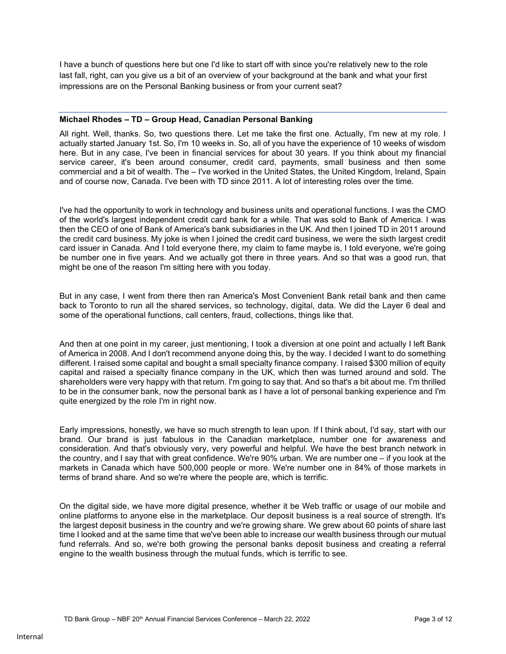I have a bunch of questions here but one I'd like to start off with since you're relatively new to the role last fall, right, can you give us a bit of an overview of your background at the bank and what your first impressions are on the Personal Banking business or from your current seat?

### Michael Rhodes – TD – Group Head, Canadian Personal Banking

All right. Well, thanks. So, two questions there. Let me take the first one. Actually, I'm new at my role. I actually started January 1st. So, I'm 10 weeks in. So, all of you have the experience of 10 weeks of wisdom here. But in any case, I've been in financial services for about 30 years. If you think about my financial service career, it's been around consumer, credit card, payments, small business and then some commercial and a bit of wealth. The – I've worked in the United States, the United Kingdom, Ireland, Spain and of course now, Canada. I've been with TD since 2011. A lot of interesting roles over the time.

I've had the opportunity to work in technology and business units and operational functions. I was the CMO of the world's largest independent credit card bank for a while. That was sold to Bank of America. I was then the CEO of one of Bank of America's bank subsidiaries in the UK. And then I joined TD in 2011 around the credit card business. My joke is when I joined the credit card business, we were the sixth largest credit card issuer in Canada. And I told everyone there, my claim to fame maybe is, I told everyone, we're going be number one in five years. And we actually got there in three years. And so that was a good run, that might be one of the reason I'm sitting here with you today.

But in any case, I went from there then ran America's Most Convenient Bank retail bank and then came back to Toronto to run all the shared services, so technology, digital, data. We did the Layer 6 deal and some of the operational functions, call centers, fraud, collections, things like that.

And then at one point in my career, just mentioning, I took a diversion at one point and actually I left Bank of America in 2008. And I don't recommend anyone doing this, by the way. I decided I want to do something different. I raised some capital and bought a small specialty finance company. I raised \$300 million of equity capital and raised a specialty finance company in the UK, which then was turned around and sold. The shareholders were very happy with that return. I'm going to say that. And so that's a bit about me. I'm thrilled to be in the consumer bank, now the personal bank as I have a lot of personal banking experience and I'm quite energized by the role I'm in right now.

Early impressions, honestly, we have so much strength to lean upon. If I think about, I'd say, start with our brand. Our brand is just fabulous in the Canadian marketplace, number one for awareness and consideration. And that's obviously very, very powerful and helpful. We have the best branch network in the country, and I say that with great confidence. We're 90% urban. We are number one – if you look at the markets in Canada which have 500,000 people or more. We're number one in 84% of those markets in terms of brand share. And so we're where the people are, which is terrific.

On the digital side, we have more digital presence, whether it be Web traffic or usage of our mobile and online platforms to anyone else in the marketplace. Our deposit business is a real source of strength. It's the largest deposit business in the country and we're growing share. We grew about 60 points of share last time I looked and at the same time that we've been able to increase our wealth business through our mutual fund referrals. And so, we're both growing the personal banks deposit business and creating a referral engine to the wealth business through the mutual funds, which is terrific to see.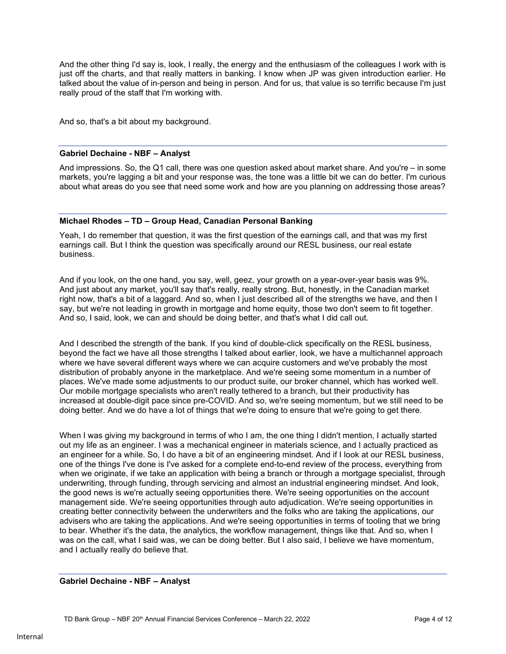And the other thing I'd say is, look, I really, the energy and the enthusiasm of the colleagues I work with is just off the charts, and that really matters in banking. I know when JP was given introduction earlier. He talked about the value of in-person and being in person. And for us, that value is so terrific because I'm just really proud of the staff that I'm working with.

And so, that's a bit about my background.

### Gabriel Dechaine - NBF – Analyst

And impressions. So, the Q1 call, there was one question asked about market share. And you're – in some markets, you're lagging a bit and your response was, the tone was a little bit we can do better. I'm curious about what areas do you see that need some work and how are you planning on addressing those areas?

#### Michael Rhodes – TD – Group Head, Canadian Personal Banking

Yeah, I do remember that question, it was the first question of the earnings call, and that was my first earnings call. But I think the question was specifically around our RESL business, our real estate business.

And if you look, on the one hand, you say, well, geez, your growth on a year-over-year basis was 9%. And just about any market, you'll say that's really, really strong. But, honestly, in the Canadian market right now, that's a bit of a laggard. And so, when I just described all of the strengths we have, and then I say, but we're not leading in growth in mortgage and home equity, those two don't seem to fit together. And so, I said, look, we can and should be doing better, and that's what I did call out.

And I described the strength of the bank. If you kind of double-click specifically on the RESL business, beyond the fact we have all those strengths I talked about earlier, look, we have a multichannel approach where we have several different ways where we can acquire customers and we've probably the most distribution of probably anyone in the marketplace. And we're seeing some momentum in a number of places. We've made some adjustments to our product suite, our broker channel, which has worked well. Our mobile mortgage specialists who aren't really tethered to a branch, but their productivity has increased at double-digit pace since pre-COVID. And so, we're seeing momentum, but we still need to be doing better. And we do have a lot of things that we're doing to ensure that we're going to get there.

When I was giving my background in terms of who I am, the one thing I didn't mention, I actually started out my life as an engineer. I was a mechanical engineer in materials science, and I actually practiced as an engineer for a while. So, I do have a bit of an engineering mindset. And if I look at our RESL business, one of the things I've done is I've asked for a complete end-to-end review of the process, everything from when we originate, if we take an application with being a branch or through a mortgage specialist, through underwriting, through funding, through servicing and almost an industrial engineering mindset. And look, the good news is we're actually seeing opportunities there. We're seeing opportunities on the account management side. We're seeing opportunities through auto adjudication. We're seeing opportunities in creating better connectivity between the underwriters and the folks who are taking the applications, our advisers who are taking the applications. And we're seeing opportunities in terms of tooling that we bring to bear. Whether it's the data, the analytics, the workflow management, things like that. And so, when I was on the call, what I said was, we can be doing better. But I also said, I believe we have momentum, and I actually really do believe that.

# Gabriel Dechaine - NBF – Analyst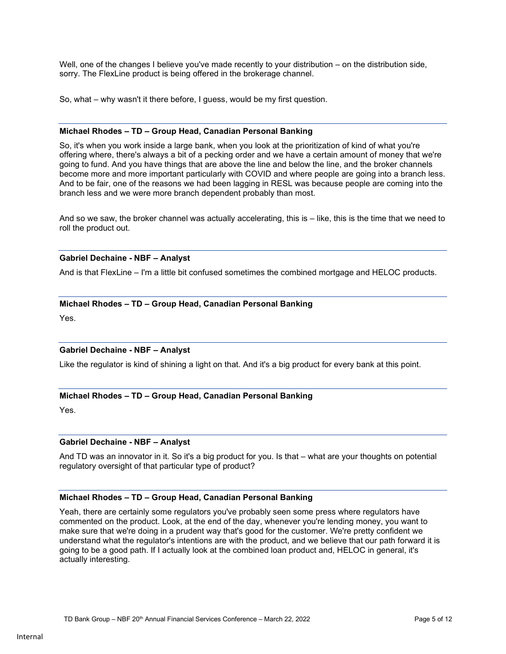Well, one of the changes I believe you've made recently to your distribution – on the distribution side, sorry. The FlexLine product is being offered in the brokerage channel.

So, what – why wasn't it there before, I guess, would be my first question.

#### Michael Rhodes – TD – Group Head, Canadian Personal Banking

So, it's when you work inside a large bank, when you look at the prioritization of kind of what you're offering where, there's always a bit of a pecking order and we have a certain amount of money that we're going to fund. And you have things that are above the line and below the line, and the broker channels become more and more important particularly with COVID and where people are going into a branch less. And to be fair, one of the reasons we had been lagging in RESL was because people are coming into the branch less and we were more branch dependent probably than most.

And so we saw, the broker channel was actually accelerating, this is – like, this is the time that we need to roll the product out.

# Gabriel Dechaine - NBF – Analyst

And is that FlexLine – I'm a little bit confused sometimes the combined mortgage and HELOC products.

# Michael Rhodes – TD – Group Head, Canadian Personal Banking

Yes.

# Gabriel Dechaine - NBF – Analyst

Like the regulator is kind of shining a light on that. And it's a big product for every bank at this point.

# Michael Rhodes – TD – Group Head, Canadian Personal Banking

Yes.

# Gabriel Dechaine - NBF – Analyst

And TD was an innovator in it. So it's a big product for you. Is that – what are your thoughts on potential regulatory oversight of that particular type of product?

# Michael Rhodes – TD – Group Head, Canadian Personal Banking

Yeah, there are certainly some regulators you've probably seen some press where regulators have commented on the product. Look, at the end of the day, whenever you're lending money, you want to make sure that we're doing in a prudent way that's good for the customer. We're pretty confident we understand what the regulator's intentions are with the product, and we believe that our path forward it is going to be a good path. If I actually look at the combined loan product and, HELOC in general, it's actually interesting.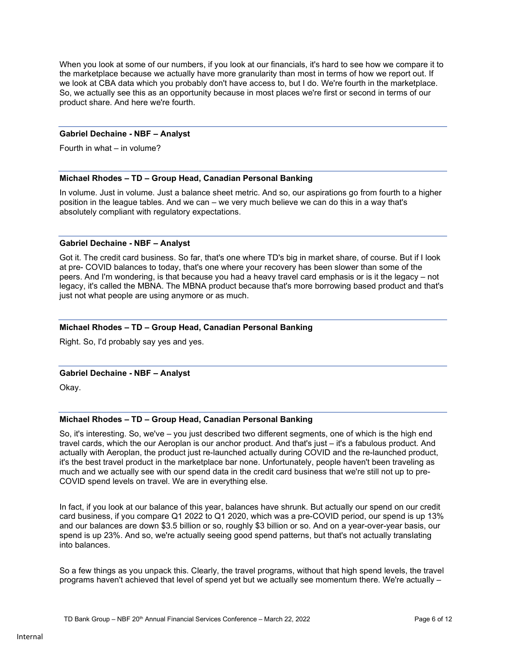When you look at some of our numbers, if you look at our financials, it's hard to see how we compare it to the marketplace because we actually have more granularity than most in terms of how we report out. If we look at CBA data which you probably don't have access to, but I do. We're fourth in the marketplace. So, we actually see this as an opportunity because in most places we're first or second in terms of our product share. And here we're fourth.

#### Gabriel Dechaine - NBF – Analyst

Fourth in what – in volume?

# Michael Rhodes – TD – Group Head, Canadian Personal Banking

In volume. Just in volume. Just a balance sheet metric. And so, our aspirations go from fourth to a higher position in the league tables. And we can – we very much believe we can do this in a way that's absolutely compliant with regulatory expectations.

#### Gabriel Dechaine - NBF – Analyst

Got it. The credit card business. So far, that's one where TD's big in market share, of course. But if I look at pre- COVID balances to today, that's one where your recovery has been slower than some of the peers. And I'm wondering, is that because you had a heavy travel card emphasis or is it the legacy – not legacy, it's called the MBNA. The MBNA product because that's more borrowing based product and that's just not what people are using anymore or as much.

### Michael Rhodes – TD – Group Head, Canadian Personal Banking

Right. So, I'd probably say yes and yes.

#### Gabriel Dechaine - NBF – Analyst

Okay.

#### Michael Rhodes – TD – Group Head, Canadian Personal Banking

So, it's interesting. So, we've – you just described two different segments, one of which is the high end travel cards, which the our Aeroplan is our anchor product. And that's just – it's a fabulous product. And actually with Aeroplan, the product just re-launched actually during COVID and the re-launched product, it's the best travel product in the marketplace bar none. Unfortunately, people haven't been traveling as much and we actually see with our spend data in the credit card business that we're still not up to pre-COVID spend levels on travel. We are in everything else.

In fact, if you look at our balance of this year, balances have shrunk. But actually our spend on our credit card business, if you compare Q1 2022 to Q1 2020, which was a pre-COVID period, our spend is up 13% and our balances are down \$3.5 billion or so, roughly \$3 billion or so. And on a year-over-year basis, our spend is up 23%. And so, we're actually seeing good spend patterns, but that's not actually translating into balances.

So a few things as you unpack this. Clearly, the travel programs, without that high spend levels, the travel programs haven't achieved that level of spend yet but we actually see momentum there. We're actually –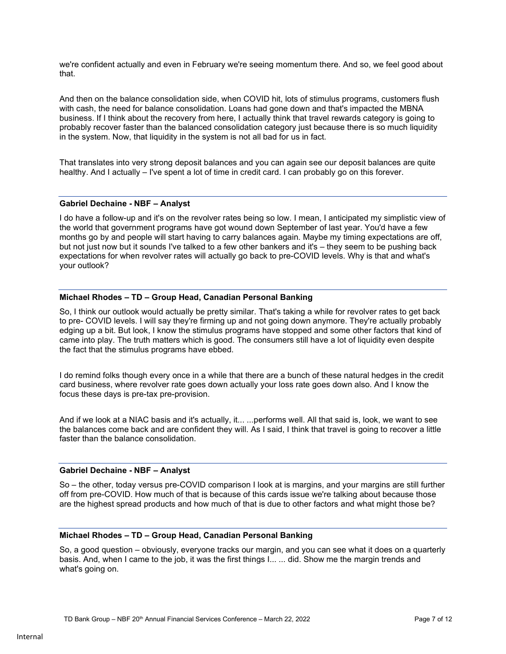we're confident actually and even in February we're seeing momentum there. And so, we feel good about that.

And then on the balance consolidation side, when COVID hit, lots of stimulus programs, customers flush with cash, the need for balance consolidation. Loans had gone down and that's impacted the MBNA business. If I think about the recovery from here, I actually think that travel rewards category is going to probably recover faster than the balanced consolidation category just because there is so much liquidity in the system. Now, that liquidity in the system is not all bad for us in fact.

That translates into very strong deposit balances and you can again see our deposit balances are quite healthy. And I actually – I've spent a lot of time in credit card. I can probably go on this forever.

#### Gabriel Dechaine - NBF – Analyst

I do have a follow-up and it's on the revolver rates being so low. I mean, I anticipated my simplistic view of the world that government programs have got wound down September of last year. You'd have a few months go by and people will start having to carry balances again. Maybe my timing expectations are off, but not just now but it sounds I've talked to a few other bankers and it's – they seem to be pushing back expectations for when revolver rates will actually go back to pre-COVID levels. Why is that and what's your outlook?

#### Michael Rhodes – TD – Group Head, Canadian Personal Banking

So, I think our outlook would actually be pretty similar. That's taking a while for revolver rates to get back to pre- COVID levels. I will say they're firming up and not going down anymore. They're actually probably edging up a bit. But look, I know the stimulus programs have stopped and some other factors that kind of came into play. The truth matters which is good. The consumers still have a lot of liquidity even despite the fact that the stimulus programs have ebbed.

I do remind folks though every once in a while that there are a bunch of these natural hedges in the credit card business, where revolver rate goes down actually your loss rate goes down also. And I know the focus these days is pre-tax pre-provision.

And if we look at a NIAC basis and it's actually, it... ...performs well. All that said is, look, we want to see the balances come back and are confident they will. As I said, I think that travel is going to recover a little faster than the balance consolidation.

#### Gabriel Dechaine - NBF – Analyst

So – the other, today versus pre-COVID comparison I look at is margins, and your margins are still further off from pre-COVID. How much of that is because of this cards issue we're talking about because those are the highest spread products and how much of that is due to other factors and what might those be?

#### Michael Rhodes – TD – Group Head, Canadian Personal Banking

So, a good question – obviously, everyone tracks our margin, and you can see what it does on a quarterly basis. And, when I came to the job, it was the first things I... ... did. Show me the margin trends and what's going on.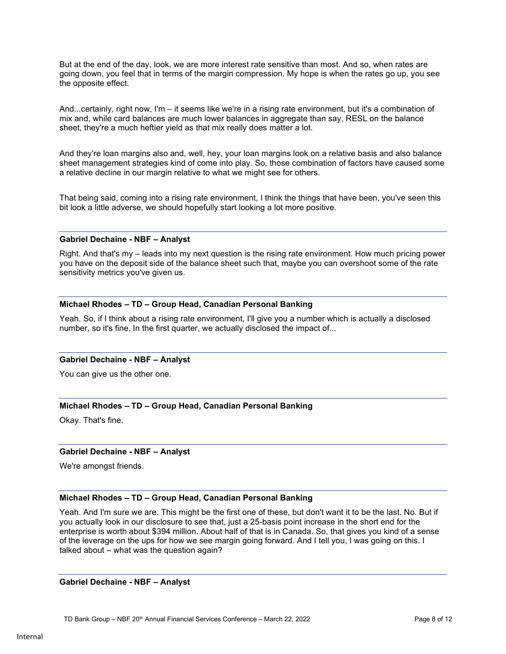But at the end of the day, look, we are more interest rate sensitive than most. And so, when rates are going down, you feel that in terms of the margin compression. My hope is when the rates go up, you see the opposite effect.

And...certainly, right now, I'm – it seems like we're in a rising rate environment, but it's a combination of mix and, while card balances are much lower balances in aggregate than say, RESL on the balance sheet, they're a much heftier yield as that mix really does matter a lot.

And they're loan margins also and, well, hey, your loan margins look on a relative basis and also balance sheet management strategies kind of come into play. So, those combination of factors have caused some a relative decline in our margin relative to what we might see for others.

That being said, coming into a rising rate environment, I think the things that have been, you've seen this bit look a little adverse, we should hopefully start looking a lot more positive.

#### Gabriel Dechaine - NBF – Analyst

Right. And that's my – leads into my next question is the rising rate environment. How much pricing power you have on the deposit side of the balance sheet such that, maybe you can overshoot some of the rate sensitivity metrics you've given us.

# Michael Rhodes – TD – Group Head, Canadian Personal Banking

Yeah. So, if I think about a rising rate environment, I'll give you a number which is actually a disclosed number, so it's fine. In the first quarter, we actually disclosed the impact of...

# Gabriel Dechaine - NBF – Analyst

You can give us the other one.

# Michael Rhodes – TD – Group Head, Canadian Personal Banking

Okay. That's fine.

# Gabriel Dechaine - NBF – Analyst

We're amongst friends.

# Michael Rhodes – TD – Group Head, Canadian Personal Banking

Yeah. And I'm sure we are. This might be the first one of these, but don't want it to be the last. No. But if you actually look in our disclosure to see that, just a 25-basis point increase in the short end for the enterprise is worth about \$394 million. About half of that is in Canada. So, that gives you kind of a sense of the leverage on the ups for how we see margin going forward. And I tell you, I was going on this. I talked about – what was the question again?

# Gabriel Dechaine - NBF – Analyst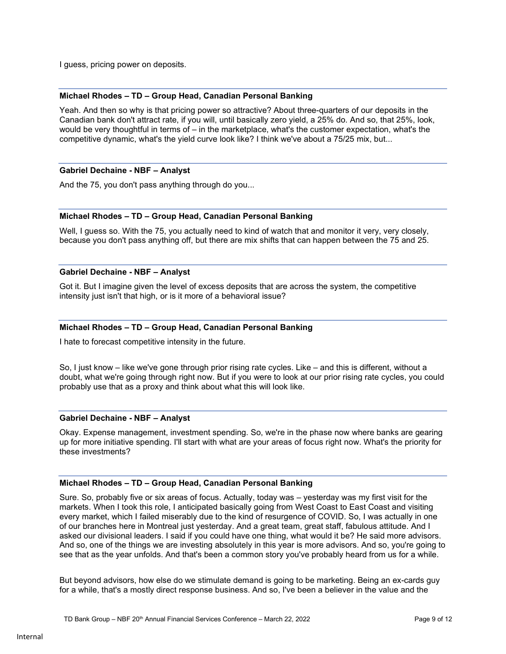I guess, pricing power on deposits.

# Michael Rhodes – TD – Group Head, Canadian Personal Banking

Yeah. And then so why is that pricing power so attractive? About three-quarters of our deposits in the Canadian bank don't attract rate, if you will, until basically zero yield, a 25% do. And so, that 25%, look, would be very thoughtful in terms of – in the marketplace, what's the customer expectation, what's the competitive dynamic, what's the yield curve look like? I think we've about a 75/25 mix, but...

# Gabriel Dechaine - NBF – Analyst

And the 75, you don't pass anything through do you...

# Michael Rhodes – TD – Group Head, Canadian Personal Banking

Well, I guess so. With the 75, you actually need to kind of watch that and monitor it very, very closely, because you don't pass anything off, but there are mix shifts that can happen between the 75 and 25.

#### Gabriel Dechaine - NBF – Analyst

Got it. But I imagine given the level of excess deposits that are across the system, the competitive intensity just isn't that high, or is it more of a behavioral issue?

### Michael Rhodes – TD – Group Head, Canadian Personal Banking

I hate to forecast competitive intensity in the future.

So, I just know – like we've gone through prior rising rate cycles. Like – and this is different, without a doubt, what we're going through right now. But if you were to look at our prior rising rate cycles, you could probably use that as a proxy and think about what this will look like.

#### Gabriel Dechaine - NBF – Analyst

Okay. Expense management, investment spending. So, we're in the phase now where banks are gearing up for more initiative spending. I'll start with what are your areas of focus right now. What's the priority for these investments?

# Michael Rhodes – TD – Group Head, Canadian Personal Banking

Sure. So, probably five or six areas of focus. Actually, today was – yesterday was my first visit for the markets. When I took this role, I anticipated basically going from West Coast to East Coast and visiting every market, which I failed miserably due to the kind of resurgence of COVID. So, I was actually in one of our branches here in Montreal just yesterday. And a great team, great staff, fabulous attitude. And I asked our divisional leaders. I said if you could have one thing, what would it be? He said more advisors. And so, one of the things we are investing absolutely in this year is more advisors. And so, you're going to see that as the year unfolds. And that's been a common story you've probably heard from us for a while.

But beyond advisors, how else do we stimulate demand is going to be marketing. Being an ex-cards guy for a while, that's a mostly direct response business. And so, I've been a believer in the value and the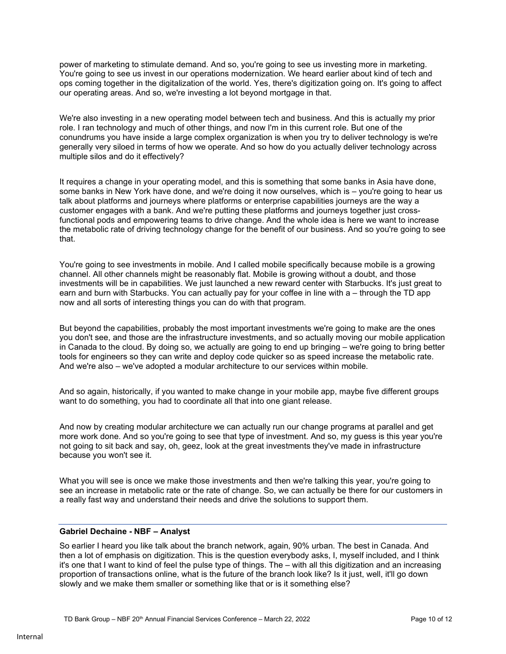power of marketing to stimulate demand. And so, you're going to see us investing more in marketing. You're going to see us invest in our operations modernization. We heard earlier about kind of tech and ops coming together in the digitalization of the world. Yes, there's digitization going on. It's going to affect our operating areas. And so, we're investing a lot beyond mortgage in that.

We're also investing in a new operating model between tech and business. And this is actually my prior role. I ran technology and much of other things, and now I'm in this current role. But one of the conundrums you have inside a large complex organization is when you try to deliver technology is we're generally very siloed in terms of how we operate. And so how do you actually deliver technology across multiple silos and do it effectively?

It requires a change in your operating model, and this is something that some banks in Asia have done, some banks in New York have done, and we're doing it now ourselves, which is – you're going to hear us talk about platforms and journeys where platforms or enterprise capabilities journeys are the way a customer engages with a bank. And we're putting these platforms and journeys together just crossfunctional pods and empowering teams to drive change. And the whole idea is here we want to increase the metabolic rate of driving technology change for the benefit of our business. And so you're going to see that.

You're going to see investments in mobile. And I called mobile specifically because mobile is a growing channel. All other channels might be reasonably flat. Mobile is growing without a doubt, and those investments will be in capabilities. We just launched a new reward center with Starbucks. It's just great to earn and burn with Starbucks. You can actually pay for your coffee in line with a – through the TD app now and all sorts of interesting things you can do with that program.

But beyond the capabilities, probably the most important investments we're going to make are the ones you don't see, and those are the infrastructure investments, and so actually moving our mobile application in Canada to the cloud. By doing so, we actually are going to end up bringing – we're going to bring better tools for engineers so they can write and deploy code quicker so as speed increase the metabolic rate. And we're also – we've adopted a modular architecture to our services within mobile.

And so again, historically, if you wanted to make change in your mobile app, maybe five different groups want to do something, you had to coordinate all that into one giant release.

And now by creating modular architecture we can actually run our change programs at parallel and get more work done. And so you're going to see that type of investment. And so, my guess is this year you're not going to sit back and say, oh, geez, look at the great investments they've made in infrastructure because you won't see it.

What you will see is once we make those investments and then we're talking this year, you're going to see an increase in metabolic rate or the rate of change. So, we can actually be there for our customers in a really fast way and understand their needs and drive the solutions to support them.

# Gabriel Dechaine - NBF – Analyst

So earlier I heard you like talk about the branch network, again, 90% urban. The best in Canada. And then a lot of emphasis on digitization. This is the question everybody asks, I, myself included, and I think it's one that I want to kind of feel the pulse type of things. The – with all this digitization and an increasing proportion of transactions online, what is the future of the branch look like? Is it just, well, it'll go down slowly and we make them smaller or something like that or is it something else?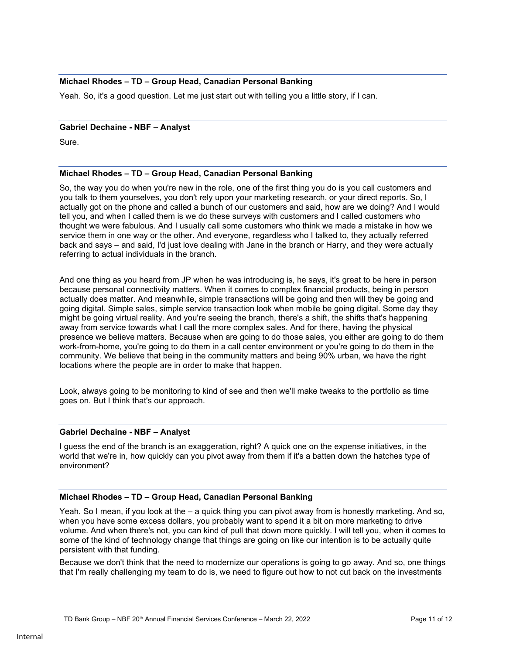# Michael Rhodes – TD – Group Head, Canadian Personal Banking

Yeah. So, it's a good question. Let me just start out with telling you a little story, if I can.

#### Gabriel Dechaine - NBF – Analyst

Sure.

# Michael Rhodes – TD – Group Head, Canadian Personal Banking

So, the way you do when you're new in the role, one of the first thing you do is you call customers and you talk to them yourselves, you don't rely upon your marketing research, or your direct reports. So, I actually got on the phone and called a bunch of our customers and said, how are we doing? And I would tell you, and when I called them is we do these surveys with customers and I called customers who thought we were fabulous. And I usually call some customers who think we made a mistake in how we service them in one way or the other. And everyone, regardless who I talked to, they actually referred back and says – and said, I'd just love dealing with Jane in the branch or Harry, and they were actually referring to actual individuals in the branch.

And one thing as you heard from JP when he was introducing is, he says, it's great to be here in person because personal connectivity matters. When it comes to complex financial products, being in person actually does matter. And meanwhile, simple transactions will be going and then will they be going and going digital. Simple sales, simple service transaction look when mobile be going digital. Some day they might be going virtual reality. And you're seeing the branch, there's a shift, the shifts that's happening away from service towards what I call the more complex sales. And for there, having the physical presence we believe matters. Because when are going to do those sales, you either are going to do them work-from-home, you're going to do them in a call center environment or you're going to do them in the community. We believe that being in the community matters and being 90% urban, we have the right locations where the people are in order to make that happen.

Look, always going to be monitoring to kind of see and then we'll make tweaks to the portfolio as time goes on. But I think that's our approach.

# Gabriel Dechaine - NBF – Analyst

I guess the end of the branch is an exaggeration, right? A quick one on the expense initiatives, in the world that we're in, how quickly can you pivot away from them if it's a batten down the hatches type of environment?

# Michael Rhodes – TD – Group Head, Canadian Personal Banking

Yeah. So I mean, if you look at the – a quick thing you can pivot away from is honestly marketing. And so, when you have some excess dollars, you probably want to spend it a bit on more marketing to drive volume. And when there's not, you can kind of pull that down more quickly. I will tell you, when it comes to some of the kind of technology change that things are going on like our intention is to be actually quite persistent with that funding.

Because we don't think that the need to modernize our operations is going to go away. And so, one things that I'm really challenging my team to do is, we need to figure out how to not cut back on the investments